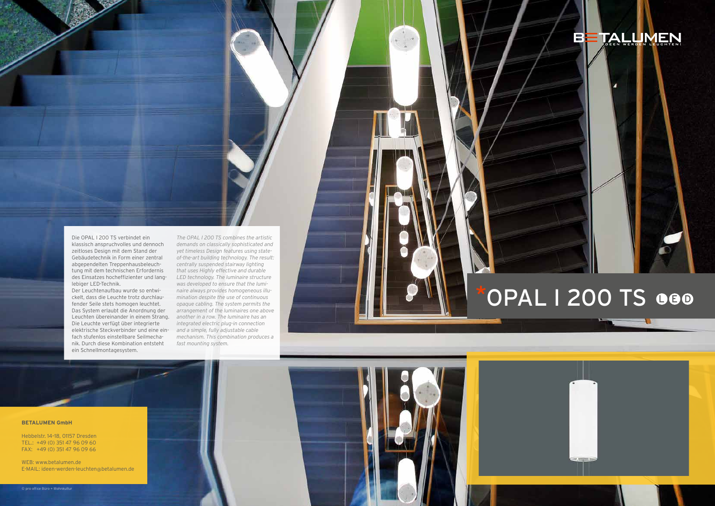### **BETALUMEN GmbH**

Hebbelstr. 14–18, 01157 Dresden TEL.: +49 (0) 351 47 96 09 60 FAX: +49 (0) 351 47 96 09 66

WEB: www.betalumen.de E-MAIL: ideen-werden-leuchten@betalumen.de

# BETALLIMEN

# OPAL I 200 TS 000



Die OPAL I 200 TS verbindet ein klassisch anspruchvolles und dennoch zeitloses Design mit dem Stand der Gebäudetechnik in Form einer zentral abgependelten Treppenhausbeleuchtung mit dem technischen Erfordernis lebiger LED-Technik.

Der Leuchtenaufbau wurde so entwickelt, dass die Leuchte trotz durchlaufender Seile stets homogen leuchtet. Das System erlaubt die Anordnung der Leuchten übereinander in einem Strang. Die Leuchte verfügt über integrierte elektrische Steckverbinder und eine einfach stufenlos einstellbare Seilmechanik. Durch diese Kombination entsteht ein Schnellmontagesystem.

des Einsatzes hocheffizienter und lang-*LED technology. The luminaire structure The OPAL I 200 TS combines the artistic demands on classically sophisticated and yet timeless Design features using stateof-the-art building technology. The result: centrally suspended stairway lighting that uses Highly effective and durable was developed to ensure that the luminaire always provides homogeneous illumination despite the use of continuous opaque cabling. The system permits the arrangement of the luminaires one above another in a row. The luminaire has an integrated electric plug-in connection and a simple, fully adjustable cable mechanism. This combination produces a fast mounting system.*